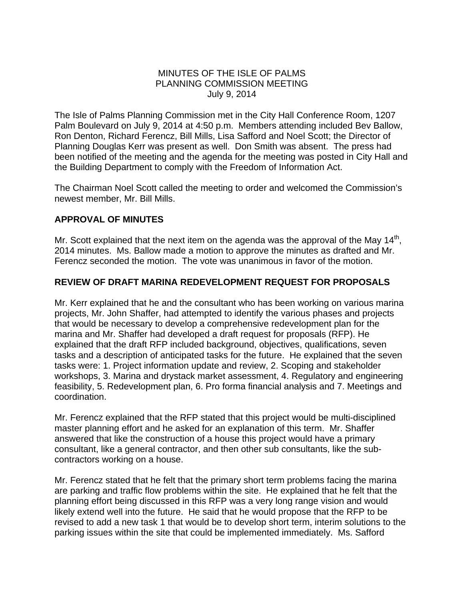## MINUTES OF THE ISLE OF PALMS PLANNING COMMISSION MEETING July 9, 2014

The Isle of Palms Planning Commission met in the City Hall Conference Room, 1207 Palm Boulevard on July 9, 2014 at 4:50 p.m. Members attending included Bev Ballow, Ron Denton, Richard Ferencz, Bill Mills, Lisa Safford and Noel Scott; the Director of Planning Douglas Kerr was present as well. Don Smith was absent. The press had been notified of the meeting and the agenda for the meeting was posted in City Hall and the Building Department to comply with the Freedom of Information Act.

The Chairman Noel Scott called the meeting to order and welcomed the Commission's newest member, Mr. Bill Mills.

## **APPROVAL OF MINUTES**

Mr. Scott explained that the next item on the agenda was the approval of the May  $14<sup>th</sup>$ , 2014 minutes. Ms. Ballow made a motion to approve the minutes as drafted and Mr. Ferencz seconded the motion. The vote was unanimous in favor of the motion.

## **REVIEW OF DRAFT MARINA REDEVELOPMENT REQUEST FOR PROPOSALS**

Mr. Kerr explained that he and the consultant who has been working on various marina projects, Mr. John Shaffer, had attempted to identify the various phases and projects that would be necessary to develop a comprehensive redevelopment plan for the marina and Mr. Shaffer had developed a draft request for proposals (RFP). He explained that the draft RFP included background, objectives, qualifications, seven tasks and a description of anticipated tasks for the future. He explained that the seven tasks were: 1. Project information update and review, 2. Scoping and stakeholder workshops, 3. Marina and drystack market assessment, 4. Regulatory and engineering feasibility, 5. Redevelopment plan, 6. Pro forma financial analysis and 7. Meetings and coordination.

Mr. Ferencz explained that the RFP stated that this project would be multi-disciplined master planning effort and he asked for an explanation of this term. Mr. Shaffer answered that like the construction of a house this project would have a primary consultant, like a general contractor, and then other sub consultants, like the subcontractors working on a house.

Mr. Ferencz stated that he felt that the primary short term problems facing the marina are parking and traffic flow problems within the site. He explained that he felt that the planning effort being discussed in this RFP was a very long range vision and would likely extend well into the future. He said that he would propose that the RFP to be revised to add a new task 1 that would be to develop short term, interim solutions to the parking issues within the site that could be implemented immediately. Ms. Safford